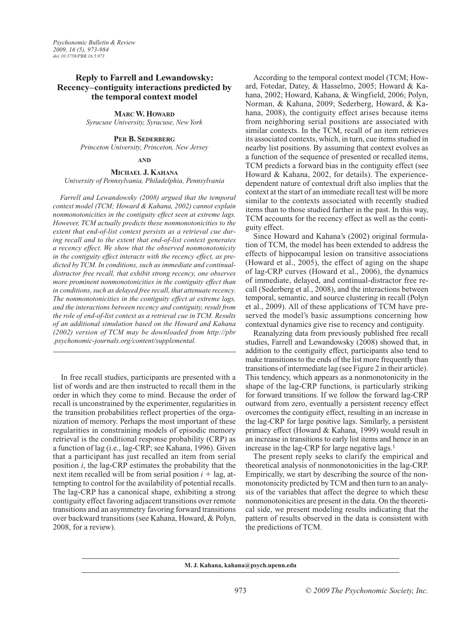# **Reply to Farrell and Lewandowsky: Recency–contiguity interactions predicted by the temporal context model**

**Marc W. Howard** *Syracuse University, Syracuse, New York*

**Per B. Sederberg** *Princeton University, Princeton, New Jersey*

### **and**

## **Michael J. Kahana** *University of Pennsylvania, Philadelphia, Pennsylvania*

*Farrell and Lewandowsky (2008) argued that the temporal context model (TCM; Howard & Kahana, 2002) cannot explain nonmonotonicities in the contiguity effect seen at extreme lags. However, TCM actually predicts these nonmonotonicities to the extent that end-of-list context persists as a retrieval cue during recall and to the extent that end-of-list context generates a recency effect. We show that the observed nonmonotonicity in the contiguity effect interacts with the recency effect, as predicted by TCM. In conditions, such as immediate and continualdistractor free recall, that exhibit strong recency, one observes more prominent nonmonotonicities in the contiguity effect than in conditions, such as delayed free recall, that attenuate recency. The nonmonotonicities in the contiguity effect at extreme lags, and the interactions between recency and contiguity, result from the role of end-of-list context as a retrieval cue in TCM. Results of an additional simulation based on the Howard and Kahana (2002) version of TCM may be downloaded from http://pbr .psychonomic-journals.org/content/supplemental.*

In free recall studies, participants are presented with a list of words and are then instructed to recall them in the order in which they come to mind. Because the order of recall is unconstrained by the experimenter, regularities in the transition probabilities reflect properties of the organization of memory. Perhaps the most important of these regularities in constraining models of episodic memory retrieval is the conditional response probability (CRP) as a function of lag (i.e., lag-CRP; see Kahana, 1996). Given that a participant has just recalled an item from serial position *i*, the lag-CRP estimates the probability that the next item recalled will be from serial position  $i + \log a$ . tempting to control for the availability of potential recalls. The lag-CRP has a canonical shape, exhibiting a strong contiguity effect favoring adjacent transitions over remote transitions and an asymmetry favoring forward transitions over backward transitions (see Kahana, Howard, & Polyn, 2008, for a review).

According to the temporal context model (TCM; Howard, Fotedar, Datey, & Hasselmo, 2005; Howard & Kahana, 2002; Howard, Kahana, & Wingfield, 2006; Polyn, Norman, & Kahana, 2009; Sederberg, Howard, & Kahana, 2008), the contiguity effect arises because items from neighboring serial positions are associated with similar contexts. In the TCM, recall of an item retrieves its associated contexts, which, in turn, cue items studied in nearby list positions. By assuming that context evolves as a function of the sequence of presented or recalled items, TCM predicts a forward bias in the contiguity effect (see Howard & Kahana, 2002, for details). The experiencedependent nature of contextual drift also implies that the context at the start of an immediate recall test will be more similar to the contexts associated with recently studied items than to those studied farther in the past. In this way, TCM accounts for the recency effect as well as the contiguity effect.

Since Howard and Kahana's (2002) original formulation of TCM, the model has been extended to address the effects of hippocampal lesion on transitive associations (Howard et al., 2005), the effect of aging on the shape of lag-CRP curves (Howard et al., 2006), the dynamics of immediate, delayed, and continual-distractor free recall (Sederberg et al., 2008), and the interactions between temporal, semantic, and source clustering in recall (Polyn et al., 2009). All of these applications of TCM have preserved the model's basic assumptions concerning how contextual dynamics give rise to recency and contiguity.

Reanalyzing data from previously published free recall studies, Farrell and Lewandowsky (2008) showed that, in addition to the contiguity effect, participants also tend to make transitions to the ends of the list more frequently than transitions of intermediate lag (see Figure 2 in their article). This tendency, which appears as a nonmonotonicity in the shape of the lag-CRP functions, is particularly striking for forward transitions. If we follow the forward lag-CRP outward from zero, eventually a persistent recency effect overcomes the contiguity effect, resulting in an increase in the lag-CRP for large positive lags. Similarly, a persistent primacy effect (Howard & Kahana, 1999) would result in an increase in transitions to early list items and hence in an increase in the lag-CRP for large negative lags.1

The present reply seeks to clarify the empirical and theoretical analysis of nonmonotonicities in the lag-CRP. Empirically, we start by describing the source of the nonmonotonicity predicted by TCM and then turn to an analysis of the variables that affect the degree to which these nonmonotonicities are present in the data. On the theoretical side, we present modeling results indicating that the pattern of results observed in the data is consistent with the predictions of TCM.

**M. J. Kahana, kahana@psych.upenn.edu**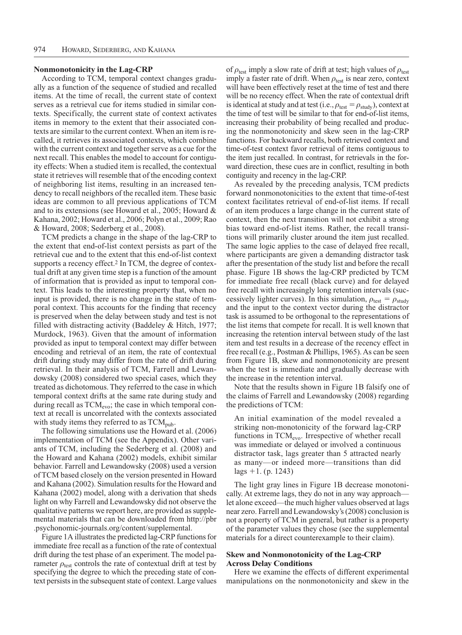## **Nonmonotonicity in the Lag-CRP**

According to TCM, temporal context changes gradually as a function of the sequence of studied and recalled items. At the time of recall, the current state of context serves as a retrieval cue for items studied in similar contexts. Specifically, the current state of context activates items in memory to the extent that their associated contexts are similar to the current context. When an item is recalled, it retrieves its associated contexts, which combine with the current context and together serve as a cue for the next recall. This enables the model to account for contiguity effects: When a studied item is recalled, the contextual state it retrieves will resemble that of the encoding context of neighboring list items, resulting in an increased tendency to recall neighbors of the recalled item. These basic ideas are common to all previous applications of TCM and to its extensions (see Howard et al., 2005; Howard & Kahana, 2002; Howard et al., 2006; Polyn et al., 2009; Rao & Howard, 2008; Sederberg et al., 2008).

TCM predicts a change in the shape of the lag-CRP to the extent that end-of-list context persists as part of the retrieval cue and to the extent that this end-of-list context supports a recency effect.2 In TCM, the degree of contextual drift at any given time step is a function of the amount of information that is provided as input to temporal context. This leads to the interesting property that, when no input is provided, there is no change in the state of temporal context. This accounts for the finding that recency is preserved when the delay between study and test is not filled with distracting activity (Baddeley & Hitch, 1977; Murdock, 1963). Given that the amount of information provided as input to temporal context may differ between encoding and retrieval of an item, the rate of contextual drift during study may differ from the rate of drift during retrieval. In their analysis of TCM, Farrell and Lewandowsky (2008) considered two special cases, which they treated as dichotomous. They referred to the case in which temporal context drifts at the same rate during study and during recall as  $TCM_{\text{evo}}$ ; the case in which temporal context at recall is uncorrelated with the contexts associated with study items they referred to as  $TCM<sub>pub</sub>$ .

The following simulations use the Howard et al. (2006) implementation of TCM (see the Appendix). Other variants of TCM, including the Sederberg et al. (2008) and the Howard and Kahana (2002) models, exhibit similar behavior. Farrell and Lewandowsky (2008) used a version of TCM based closely on the version presented in Howard and Kahana (2002). Simulation results for the Howard and Kahana (2002) model, along with a derivation that sheds light on why Farrell and Lewandowsky did not observe the qualitative patterns we report here, are provided as supplemental materials that can be downloaded from http://pbr .psychonomic-journals.org/content/supplemental.

Figure 1A illustrates the predicted lag-CRP functions for immediate free recall as a function of the rate of contextual drift during the test phase of an experiment. The model parameter  $\rho_{\text{test}}$  controls the rate of contextual drift at test by specifying the degree to which the preceding state of context persists in the subsequent state of context. Large values of *ρ*<sub>test</sub> imply a slow rate of drift at test; high values of *ρ*<sub>test</sub> imply a faster rate of drift. When  $\rho_{\text{test}}$  is near zero, context will have been effectively reset at the time of test and there will be no recency effect. When the rate of contextual drift is identical at study and at test (i.e.,  $\rho_{\text{test}} = \rho_{\text{study}}$ ), context at the time of test will be similar to that for end-of-list items, increasing their probability of being recalled and producing the nonmonotonicity and skew seen in the lag-CRP functions. For backward recalls, both retrieved context and time-of-test context favor retrieval of items contiguous to the item just recalled. In contrast, for retrievals in the forward direction, these cues are in conflict, resulting in both contiguity and recency in the lag-CRP.

As revealed by the preceding analysis, TCM predicts forward nonmonotonicities to the extent that time-of-test context facilitates retrieval of end-of-list items. If recall of an item produces a large change in the current state of context, then the next transition will not exhibit a strong bias toward end-of-list items. Rather, the recall transitions will primarily cluster around the item just recalled. The same logic applies to the case of delayed free recall, where participants are given a demanding distractor task after the presentation of the study list and before the recall phase. Figure 1B shows the lag-CRP predicted by TCM for immediate free recall (black curve) and for delayed free recall with increasingly long retention intervals (successively lighter curves). In this simulation,  $\rho_{\text{test}} = \rho_{\text{study}}$ and the input to the context vector during the distractor task is assumed to be orthogonal to the representations of the list items that compete for recall. It is well known that increasing the retention interval between study of the last item and test results in a decrease of the recency effect in free recall (e.g., Postman & Phillips, 1965). As can be seen from Figure 1B, skew and nonmonotonicity are present when the test is immediate and gradually decrease with the increase in the retention interval.

Note that the results shown in Figure 1B falsify one of the claims of Farrell and Lewandowsky (2008) regarding the predictions of TCM:

An initial examination of the model revealed a striking non-monotonicity of the forward lag-CRP functions in TCM<sub>evo</sub>. Irrespective of whether recall was immediate or delayed or involved a continuous distractor task, lags greater than 5 attracted nearly as many—or indeed more—transitions than did  $lags + 1. (p. 1243)$ 

The light gray lines in Figure 1B decrease monotonically. At extreme lags, they do not in any way approach let alone exceed—the much higher values observed at lags near zero. Farrell and Lewandowsky's (2008) conclusion is not a property of TCM in general, but rather is a property of the parameter values they chose (see the supplemental materials for a direct counterexample to their claim).

## **Skew and Nonmonotonicity of the Lag-CRP Across Delay Conditions**

Here we examine the effects of different experimental manipulations on the nonmonotonicity and skew in the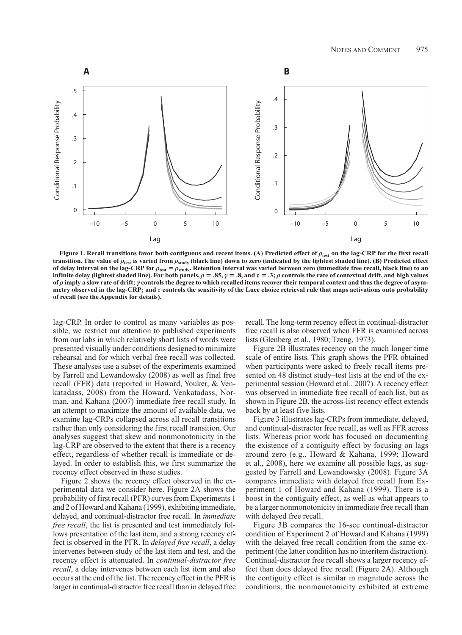

**Figure 1. Recall transitions favor both contiguous and recent items. (A) Predicted effect of** *ρ***test on the lag-CRP for the first recall transition. The value of**  $ρ$ **<sub>test</sub> is varied from**  $ρ$ **<sub>study</sub> (black line) down to zero (indicated by the lightest shaded line). (B) Predicted effect of delay interval on the lag-CRP for**  $ρ_{\text{test}} = ρ_{\text{study}}$ **. Retention interval was varied between zero (immediate free recall, black line) to an infinite delay (lightest shaded line).** For both panels,  $\rho = .85$ ,  $\gamma = .8$ , and  $\tau = .3$ ;  $\rho$  controls the rate of contextual drift, and high values **of** *ρ* **imply a slow rate of drift;** *γ* **controls the degree to which recalled items recover their temporal context and thus the degree of asymmetry observed in the lag-CRP; and** *τ* **controls the sensitivity of the Luce choice retrieval rule that maps activations onto probability of recall (see the Appendix for details).**

lag-CRP. In order to control as many variables as possible, we restrict our attention to published experiments from our labs in which relatively short lists of words were presented visually under conditions designed to minimize rehearsal and for which verbal free recall was collected. These analyses use a subset of the experiments examined by Farrell and Lewandowsky (2008) as well as final free recall (FFR) data (reported in Howard, Youker, & Venkatadass, 2008) from the Howard, Venkatadass, Norman, and Kahana (2007) immediate free recall study. In an attempt to maximize the amount of available data, we examine lag-CRPs collapsed across all recall transitions rather than only considering the first recall transition. Our analyses suggest that skew and nonmonotonicity in the lag-CRP are observed to the extent that there is a recency effect, regardless of whether recall is immediate or delayed. In order to establish this, we first summarize the recency effect observed in these studies.

Figure 2 shows the recency effect observed in the experimental data we consider here. Figure 2A shows the probability of first recall (PFR) curves from Experiments 1 and 2 of Howard and Kahana (1999), exhibiting immediate, delayed, and continual-distractor free recall. In *immediate free recall*, the list is presented and test immediately follows presentation of the last item, and a strong recency effect is observed in the PFR. In *delayed free recall*, a delay intervenes between study of the last item and test, and the recency effect is attenuated. In *continual-distractor free recall*, a delay intervenes between each list item and also occurs at the end of the list. The recency effect in the PFR is larger in continual-distractor free recall than in delayed free

recall. The long-term recency effect in continual-distractor free recall is also observed when FFR is examined across lists (Glenberg et al., 1980; Tzeng, 1973).

Figure 2B illustrates recency on the much longer time scale of entire lists. This graph shows the PFR obtained when participants were asked to freely recall items presented on 48 distinct study–test lists at the end of the experimental session (Howard et al., 2007). A recency effect was observed in immediate free recall of each list, but as shown in Figure 2B, the across-list recency effect extends back by at least five lists.

Figure 3 illustrates lag-CRPs from immediate, delayed, and continual-distractor free recall, as well as FFR across lists. Whereas prior work has focused on documenting the existence of a contiguity effect by focusing on lags around zero (e.g., Howard & Kahana, 1999; Howard et al., 2008), here we examine all possible lags, as suggested by Farrell and Lewandowsky (2008). Figure 3A compares immediate with delayed free recall from Experiment 1 of Howard and Kahana (1999). There is a boost in the contiguity effect, as well as what appears to be a larger nonmonotonicity in immediate free recall than with delayed free recall.

Figure 3B compares the 16-sec continual-distractor condition of Experiment 2 of Howard and Kahana (1999) with the delayed free recall condition from the same experiment (the latter condition has no interitem distraction). Continual-distractor free recall shows a larger recency effect than does delayed free recall (Figure 2A). Although the contiguity effect is similar in magnitude across the conditions, the nonmonotonicity exhibited at extreme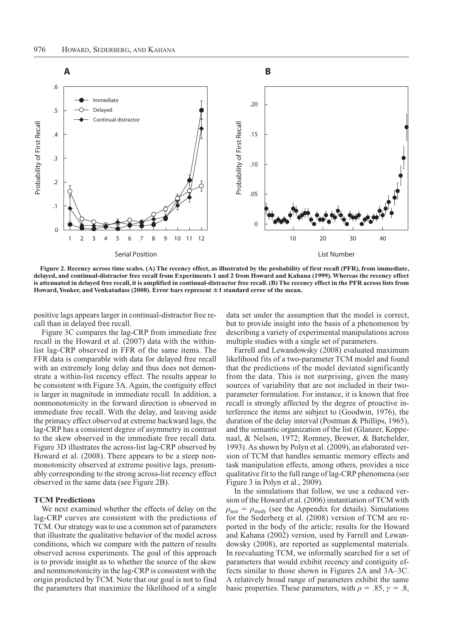

**Figure 2. Recency across time scales. (A) The recency effect, as illustrated by the probability of first recall (PFR), from immediate, delayed, and continual-distractor free recall from Experiments 1 and 2 from Howard and Kahana (1999). Whereas the recency effect**  is attenuated in delayed free recall, it is amplified in continual-distractor free recall. (B) The recency effect in the PFR across lists from Howard, Youker, and Venkatadass (2008). Error bars represent  $\pm 1$  standard error of the mean.

positive lags appears larger in continual-distractor free recall than in delayed free recall.

Figure 3C compares the lag-CRP from immediate free recall in the Howard et al. (2007) data with the withinlist lag-CRP observed in FFR of the same items. The FFR data is comparable with data for delayed free recall with an extremely long delay and thus does not demonstrate a within-list recency effect. The results appear to be consistent with Figure 3A. Again, the contiguity effect is larger in magnitude in immediate recall. In addition, a nonmonotonicity in the forward direction is observed in immediate free recall. With the delay, and leaving aside the primacy effect observed at extreme backward lags, the lag-CRP has a consistent degree of asymmetry in contrast to the skew observed in the immediate free recall data. Figure 3D illustrates the across-list lag-CRP observed by Howard et al. (2008). There appears to be a steep nonmonotonicity observed at extreme positive lags, presumably corresponding to the strong across-list recency effect observed in the same data (see Figure 2B).

## **TCM Predictions**

We next examined whether the effects of delay on the lag-CRP curves are consistent with the predictions of TCM. Our strategy was to use a common set of parameters that illustrate the qualitative behavior of the model across conditions, which we compare with the pattern of results observed across experiments. The goal of this approach is to provide insight as to whether the source of the skew and nonmonotonicity in the lag-CRP is consistent with the origin predicted by TCM. Note that our goal is not to find the parameters that maximize the likelihood of a single

data set under the assumption that the model is correct, but to provide insight into the basis of a phenomenon by describing a variety of experimental manipulations across multiple studies with a single set of parameters.

Farrell and Lewandowsky (2008) evaluated maximum likelihood fits of a two-parameter TCM model and found that the predictions of the model deviated significantly from the data. This is not surprising, given the many sources of variability that are not included in their twoparameter formulation. For instance, it is known that free recall is strongly affected by the degree of proactive interference the items are subject to (Goodwin, 1976), the duration of the delay interval (Postman & Phillips, 1965), and the semantic organization of the list (Glanzer, Koppenaal, & Nelson, 1972; Romney, Brewer, & Batchelder, 1993). As shown by Polyn et al. (2009), an elaborated version of TCM that handles semantic memory effects and task manipulation effects, among others, provides a nice qualitative fit to the full range of lag-CRP phenomena (see Figure 3 in Polyn et al., 2009).

In the simulations that follow, we use a reduced version of the Howard et al. (2006) instantiation of TCM with  $\rho_{\text{test}} = \rho_{\text{study}}$  (see the Appendix for details). Simulations for the Sederberg et al. (2008) version of TCM are reported in the body of the article; results for the Howard and Kahana (2002) version, used by Farrell and Lewandowsky (2008), are reported as supplemental materials. In reevaluating TCM, we informally searched for a set of parameters that would exhibit recency and contiguity effects similar to those shown in Figures 2A and 3A–3C. A relatively broad range of parameters exhibit the same basic properties. These parameters, with  $\rho = .85$ ,  $\gamma = .8$ ,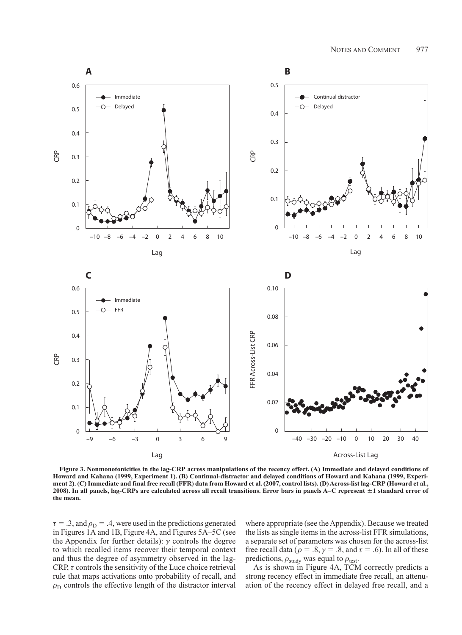

**Figure 3. Nonmonotonicities in the lag-CRP across manipulations of the recency effect. (A) Immediate and delayed conditions of Howard and Kahana (1999, Experiment 1). (B) Continual-distractor and delayed conditions of Howard and Kahana (1999, Experiment 2). (C)Immediate and final free recall (FFR) data from Howard et al. (2007, control lists). (D)Across-list lag-CRP (Howard et al., 2008). In all panels, lag-CRPs are calculated across all recall transitions. Error bars in panels A–C represent**  $\pm 1$  **standard error of the mean.**

 $\tau = .3$ , and  $\rho_D = .4$ , were used in the predictions generated in Figures 1A and 1B, Figure 4A, and Figures 5A–5C (see the Appendix for further details): *γ* controls the degree to which recalled items recover their temporal context and thus the degree of asymmetry observed in the lag-CRP, *τ* controls the sensitivity of the Luce choice retrieval rule that maps activations onto probability of recall, and  $\rho_D$  controls the effective length of the distractor interval

where appropriate (see the Appendix). Because we treated the lists as single items in the across-list FFR simulations, a separate set of parameters was chosen for the across-list free recall data ( $\rho = .8$ ,  $\gamma = .8$ , and  $\tau = .6$ ). In all of these predictions, *ρ*study was equal to *ρ*test.

As is shown in Figure 4A, TCM correctly predicts a strong recency effect in immediate free recall, an attenuation of the recency effect in delayed free recall, and a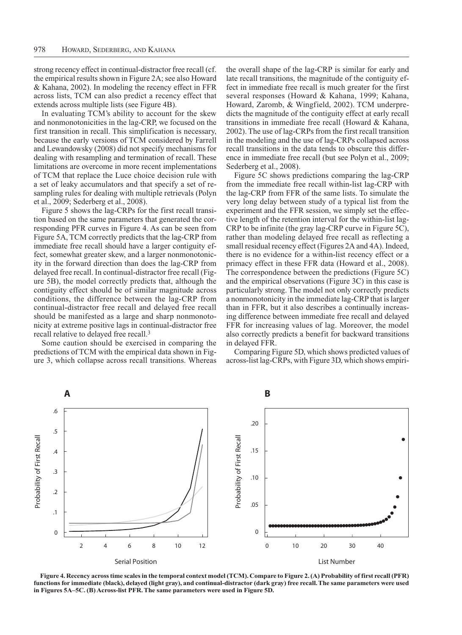strong recency effect in continual-distractor free recall (cf. the empirical results shown in Figure 2A; see also Howard & Kahana, 2002). In modeling the recency effect in FFR across lists, TCM can also predict a recency effect that extends across multiple lists (see Figure 4B).

In evaluating TCM's ability to account for the skew and nonmonotonicities in the lag-CRP, we focused on the first transition in recall. This simplification is necessary, because the early versions of TCM considered by Farrell and Lewandowsky (2008) did not specify mechanisms for dealing with resampling and termination of recall. These limitations are overcome in more recent implementations of TCM that replace the Luce choice decision rule with a set of leaky accumulators and that specify a set of resampling rules for dealing with multiple retrievals (Polyn et al., 2009; Sederberg et al., 2008).

Figure 5 shows the lag-CRPs for the first recall transition based on the same parameters that generated the corresponding PFR curves in Figure 4. As can be seen from Figure 5A, TCM correctly predicts that the lag-CRP from immediate free recall should have a larger contiguity effect, somewhat greater skew, and a larger nonmonotonicity in the forward direction than does the lag-CRP from delayed free recall. In continual-distractor free recall (Figure 5B), the model correctly predicts that, although the contiguity effect should be of similar magnitude across conditions, the difference between the lag-CRP from continual-distractor free recall and delayed free recall should be manifested as a large and sharp nonmonotonicity at extreme positive lags in continual-distractor free recall relative to delayed free recall.3

Some caution should be exercised in comparing the predictions of TCM with the empirical data shown in Figure 3, which collapse across recall transitions. Whereas the overall shape of the lag-CRP is similar for early and late recall transitions, the magnitude of the contiguity effect in immediate free recall is much greater for the first several responses (Howard & Kahana, 1999; Kahana, Howard, Zaromb, & Wingfield, 2002). TCM underpredicts the magnitude of the contiguity effect at early recall transitions in immediate free recall (Howard & Kahana, 2002). The use of lag-CRPs from the first recall transition in the modeling and the use of lag-CRPs collapsed across recall transitions in the data tends to obscure this difference in immediate free recall (but see Polyn et al., 2009; Sederberg et al., 2008).

Figure 5C shows predictions comparing the lag-CRP from the immediate free recall within-list lag-CRP with the lag-CRP from FFR of the same lists. To simulate the very long delay between study of a typical list from the experiment and the FFR session, we simply set the effective length of the retention interval for the within-list lag-CRP to be infinite (the gray lag-CRP curve in Figure 5C), rather than modeling delayed free recall as reflecting a small residual recency effect (Figures 2A and 4A). Indeed, there is no evidence for a within-list recency effect or a primacy effect in these FFR data (Howard et al., 2008). The correspondence between the predictions (Figure 5C) and the empirical observations (Figure 3C) in this case is particularly strong. The model not only correctly predicts a nonmonotonicity in the immediate lag-CRP that is larger than in FFR, but it also describes a continually increasing difference between immediate free recall and delayed FFR for increasing values of lag. Moreover, the model also correctly predicts a benefit for backward transitions in delayed FFR.

Comparing Figure 5D, which shows predicted values of across-list lag-CRPs, with Figure 3D, which shows empiri-



**Figure 4. Recency across time scales in the temporal context model (TCM). Compare to Figure 2. (A) Probability of first recall (PFR) functions for immediate (black), delayed (light gray), and continual-distractor (dark gray) free recall. The same parameters were used in Figures 5A–5C. (B)Across-list PFR. The same parameters were used in Figure 5D.**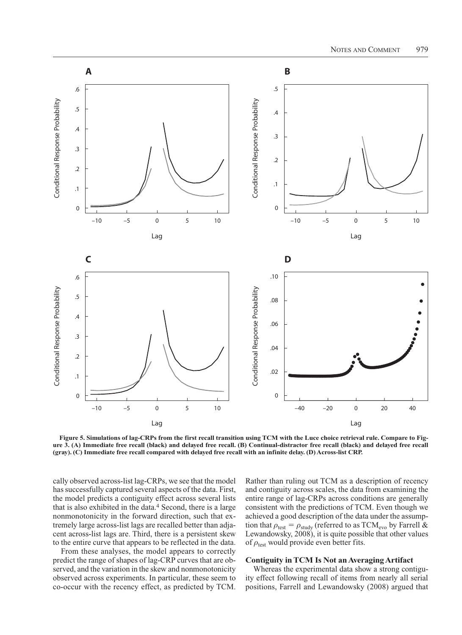

**Figure 5. Simulations of lag-CRPs from the first recall transition using TCM with the Luce choice retrieval rule. Compare to Figure 3. (A) Immediate free recall (black) and delayed free recall. (B) Continual-distractor free recall (black) and delayed free recall (gray). (C) Immediate free recall compared with delayed free recall with an infinite delay. (D)Across-list CRP.**

cally observed across-list lag-CRPs, we see that the model has successfully captured several aspects of the data. First, the model predicts a contiguity effect across several lists that is also exhibited in the data.<sup>4</sup> Second, there is a large nonmonotonicity in the forward direction, such that extremely large across-list lags are recalled better than adjacent across-list lags are. Third, there is a persistent skew to the entire curve that appears to be reflected in the data.

From these analyses, the model appears to correctly predict the range of shapes of lag-CRP curves that are observed, and the variation in the skew and nonmonotonicity observed across experiments. In particular, these seem to co-occur with the recency effect, as predicted by TCM.

Rather than ruling out TCM as a description of recency and contiguity across scales, the data from examining the entire range of lag-CRPs across conditions are generally consistent with the predictions of TCM. Even though we achieved a good description of the data under the assumption that  $\rho_{\text{test}} = \rho_{\text{study}}$  (referred to as TCM<sub>evo</sub> by Farrell & Lewandowsky, 2008), it is quite possible that other values of  $\rho_{\text{test}}$  would provide even better fits.

### **Contiguity in TCM Is Not an Averaging Artifact**

Whereas the experimental data show a strong contiguity effect following recall of items from nearly all serial positions, Farrell and Lewandowsky (2008) argued that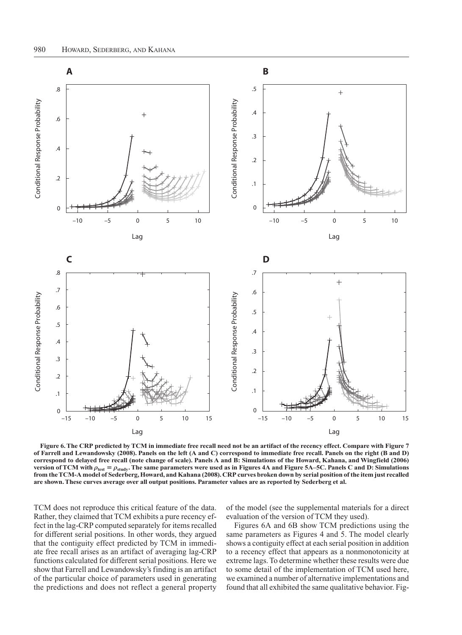

**Figure 6. The CRP predicted by TCM in immediate free recall need not be an artifact of the recency effect. Compare with Figure 7 of Farrell and Lewandowsky (2008). Panels on the left (A and C) correspond to immediate free recall. Panels on the right (B and D) correspond to delayed free recall (note change of scale). Panels A and B: Simulations of the Howard, Kahana, and Wingfield (2006) version of TCM with**  $\rho_{\text{test}} = \rho_{\text{study}}$ **. The same parameters were used as in Figures 4A and Figure 5A–5C. Panels C and D: Simulations from the TCM-A model of Sederberg, Howard, and Kahana (2008). CRP curves broken down by serial position of the item just recalled are shown. These curves average over all output positions. Parameter values are as reported by Sederberg et al.**

TCM does not reproduce this critical feature of the data. Rather, they claimed that TCM exhibits a pure recency effect in the lag-CRP computed separately for items recalled for different serial positions. In other words, they argued that the contiguity effect predicted by TCM in immediate free recall arises as an artifact of averaging lag-CRP functions calculated for different serial positions. Here we show that Farrell and Lewandowsky's finding is an artifact of the particular choice of parameters used in generating the predictions and does not reflect a general property

of the model (see the supplemental materials for a direct evaluation of the version of TCM they used).

Figures 6A and 6B show TCM predictions using the same parameters as Figures 4 and 5. The model clearly shows a contiguity effect at each serial position in addition to a recency effect that appears as a nonmonotonicity at extreme lags. To determine whether these results were due to some detail of the implementation of TCM used here, we examined a number of alternative implementations and found that all exhibited the same qualitative behavior. Fig-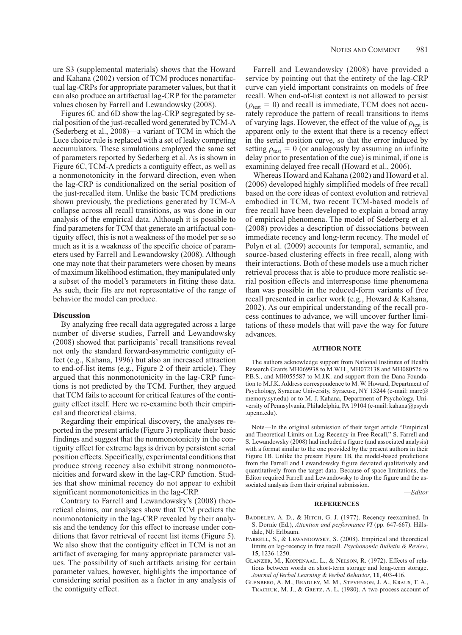ure S3 (supplemental materials) shows that the Howard and Kahana (2002) version of TCM produces nonartifactual lag-CRPs for appropriate parameter values, but that it can also produce an artifactual lag-CRP for the parameter values chosen by Farrell and Lewandowsky (2008).

Figures 6C and 6D show the lag-CRP segregated by serial position of the just-recalled word generated by TCM-A (Sederberg et al., 2008)—a variant of TCM in which the Luce choice rule is replaced with a set of leaky competing accumulators. These simulations employed the same set of parameters reported by Sederberg et al. As is shown in Figure 6C, TCM-A predicts a contiguity effect, as well as a nonmonotonicity in the forward direction, even when the lag-CRP is conditionalized on the serial position of the just-recalled item. Unlike the basic TCM predictions shown previously, the predictions generated by TCM-A collapse across all recall transitions, as was done in our analysis of the empirical data. Although it is possible to find parameters for TCM that generate an artifactual contiguity effect, this is not a weakness of the model per se so much as it is a weakness of the specific choice of parameters used by Farrell and Lewandowsky (2008). Although one may note that their parameters were chosen by means of maximum likelihood estimation, they manipulated only a subset of the model's parameters in fitting these data. As such, their fits are not representative of the range of behavior the model can produce.

### **Discussion**

By analyzing free recall data aggregated across a large number of diverse studies, Farrell and Lewandowsky (2008) showed that participants' recall transitions reveal not only the standard forward-asymmetric contiguity effect (e.g., Kahana, 1996) but also an increased attraction to end-of-list items (e.g., Figure 2 of their article). They argued that this nonmonotonicity in the lag-CRP functions is not predicted by the TCM. Further, they argued that TCM fails to account for critical features of the contiguity effect itself. Here we re-examine both their empirical and theoretical claims.

Regarding their empirical discovery, the analyses reported in the present article (Figure 3) replicate their basic findings and suggest that the nonmonotonicity in the contiguity effect for extreme lags is driven by persistent serial position effects. Specifically, experimental conditions that produce strong recency also exhibit strong nonmonotonicities and forward skew in the lag-CRP function. Studies that show minimal recency do not appear to exhibit significant nonmonotonicities in the lag-CRP.

Contrary to Farrell and Lewandowsky's (2008) theoretical claims, our analyses show that TCM predicts the nonmonotonicity in the lag-CRP revealed by their analysis and the tendency for this effect to increase under conditions that favor retrieval of recent list items (Figure 5). We also show that the contiguity effect in TCM is not an artifact of averaging for many appropriate parameter values. The possibility of such artifacts arising for certain parameter values, however, highlights the importance of considering serial position as a factor in any analysis of the contiguity effect.

Farrell and Lewandowsky (2008) have provided a service by pointing out that the entirety of the lag-CRP curve can yield important constraints on models of free recall. When end-of-list context is not allowed to persist  $(\rho_{\text{test}} = 0)$  and recall is immediate, TCM does not accurately reproduce the pattern of recall transitions to items of varying lags. However, the effect of the value of *ρ*<sub>test</sub> is apparent only to the extent that there is a recency effect in the serial position curve, so that the error induced by setting  $\rho_{\text{test}} = 0$  (or analogously by assuming an infinite delay prior to presentation of the cue) is minimal, if one is examining delayed free recall (Howard et al., 2006).

Whereas Howard and Kahana (2002) and Howard et al. (2006) developed highly simplified models of free recall based on the core ideas of context evolution and retrieval embodied in TCM, two recent TCM-based models of free recall have been developed to explain a broad array of empirical phenomena. The model of Sederberg et al. (2008) provides a description of dissociations between immediate recency and long-term recency. The model of Polyn et al. (2009) accounts for temporal, semantic, and source-based clustering effects in free recall, along with their interactions. Both of these models use a much richer retrieval process that is able to produce more realistic serial position effects and interresponse time phenomena than was possible in the reduced-form variants of free recall presented in earlier work (e.g., Howard & Kahana, 2002). As our empirical understanding of the recall process continues to advance, we will uncover further limitations of these models that will pave the way for future advances.

#### **AUTHOR NOTE**

The authors acknowledge support from National Institutes of Health Research Grants MH069938 to M.W.H., MH072138 and MH080526 to P.B.S., and MH055587 to M.J.K. and support from the Dana Foundation to M.J.K. Address correspondence to M. W. Howard, Department of Psychology, Syracuse University, Syracuse, NY 13244 (e-mail: marc@ memory.syr.edu) or to M. J. Kahana, Department of Psychology, University of Pennsylvania, Philadelphia, PA 19104 (e-mail: kahana@psych .upenn.edu).

Note—In the original submission of their target article "Empirical and Theoretical Limits on Lag-Recency in Free Recall," S. Farrell and S. Lewandowsky (2008) had included a figure (and associated analysis) with a format similar to the one provided by the present authors in their Figure 1B. Unlike the present Figure 1B, the model-based predictions from the Farrell and Lewandowsky figure deviated qualitatively and quantitatively from the target data. Because of space limitations, the Editor required Farrell and Lewandowsky to drop the figure and the associated analysis from their original submission.

—*Editor*

#### **REFERENCES**

- BADDELEY, A. D., & HITCH, G. J. (1977). Recency reexamined. In S. Dornic (Ed.), *Attention and performance VI* (pp. 647-667). Hillsdale, NJ: Erlbaum.
- FARRELL, S., & LEWANDOWSKY, S. (2008). Empirical and theoretical limits on lag-recency in free recall. *Psychonomic Bulletin & Review*, **15**, 1236-1250.
- Glanzer, M., Koppenaal, L., & Nelson, R. (1972). Effects of relations between words on short-term storage and long-term storage. *Journal of Verbal Learning & Verbal Behavior*, **11**, 403-416.
- Glenberg, A. M., Bradley, M. M., Stevenson, J. A., Kraus, T. A., TKACHUK, M. J., & GRETZ, A. L. (1980). A two-process account of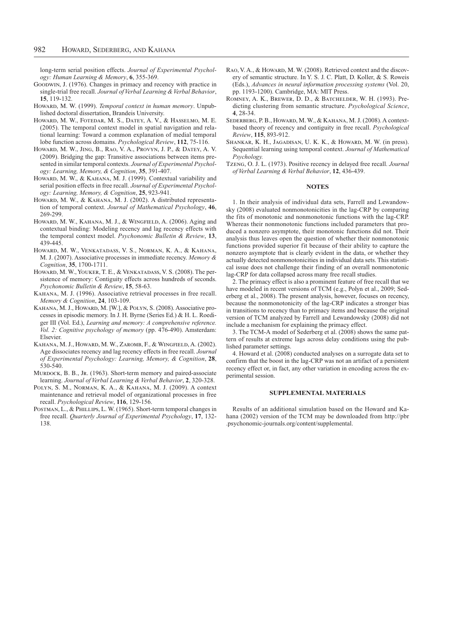long-term serial position effects. *Journal of Experimental Psychology: Human Learning & Memory*, **6**, 355-369.

- Goodwin, J. (1976). Changes in primacy and recency with practice in single-trial free recall. *Journal of Verbal Learning & Verbal Behavior*, **15**, 119-132.
- Howard, M. W. (1999). *Temporal context in human memory*. Unpublished doctoral dissertation, Brandeis University.
- Howard, M. W., Fotedar, M. S., Datey, A. V., & Hasselmo, M. E. (2005). The temporal context model in spatial navigation and relational learning: Toward a common explanation of medial temporal lobe function across domains. *Psychological Review*, **112**, 75-116.
- Howard, M. W., Jing, B., Rao, V. A., Provyn, J. P., & Datey, A. V. (2009). Bridging the gap: Transitive associations between items presented in similar temporal contexts. *Journal of Experimental Psychology: Learning, Memory, & Cognition*, **35**, 391-407.
- Howard, M. W., & KAHANA, M. J. (1999). Contextual variability and serial position effects in free recall. *Journal of Experimental Psychology: Learning, Memory, & Cognition*, **25**, 923-941.
- Howard, M. W., & KAHANA, M. J. (2002). A distributed representation of temporal context. *Journal of Mathematical Psychology*, **46**, 269-299.
- HOWARD, M. W., KAHANA, M. J., & WINGFIELD, A. (2006). Aging and contextual binding: Modeling recency and lag recency effects with the temporal context model. *Psychonomic Bulletin & Review*, **13**, 439-445.
- Howard, M. W., Venkatadass, V. S., Norman, K. A., & Kahana, M. J. (2007). Associative processes in immediate recency. *Memory & Cognition*, **35**, 1700-1711.
- Howard, M. W., Youker, T. E., & Venkatadass, V. S. (2008). The persistence of memory: Contiguity effects across hundreds of seconds. *Psychonomic Bulletin & Review*, **15**, 58-63.
- Kahana, M. J. (1996). Associative retrieval processes in free recall. *Memory & Cognition*, **24**, 103-109.
- KAHANA, M. J., HOWARD, M. [W.], & POLYN, S. (2008). Associative processes in episodic memory. In J. H. Byrne (Series Ed.) & H. L. Roediger III (Vol. Ed.), *Learning and memory: A comprehensive reference. Vol. 2: Cognitive psychology of memory* (pp. 476-490). Amsterdam: Elsevier.
- Kahana, M. J., Howard, M. W., Zaromb, F., & Wingfield, A. (2002). Age dissociates recency and lag recency effects in free recall. *Journal of Experimental Psychology: Learning, Memory, & Cognition*, **28**, 530-540.
- MURDOCK, B. B., JR. (1963). Short-term memory and paired-associate learning. *Journal of Verbal Learning & Verbal Behavior*, **2**, 320-328.
- Polyn, S. M., Norman, K. A., & Kahana, M. J. (2009). A context maintenance and retrieval model of organizational processes in free recall. *Psychological Review*, **116**, 129-156.
- POSTMAN, L., & PHILLIPS, L. W. (1965). Short-term temporal changes in free recall. *Quarterly Journal of Experimental Psychology*, **17**, 132- 138.
- RAO, V. A., & HOWARD, M. W. (2008). Retrieved context and the discovery of semantic structure. In Y. S. J. C. Platt, D. Koller, & S. Roweis (Eds.), *Advances in neural information processing systems* (Vol. 20, pp. 1193-1200). Cambridge, MA: MIT Press.
- Romney, A. K., Brewer, D. D., & Batchelder, W. H. (1993). Predicting clustering from semantic structure. *Psychological Science*, **4**, 28-34.
- Sederberg, P. B., Howard, M. W., & Kahana, M.J. (2008). A contextbased theory of recency and contiguity in free recall. *Psychological Review*, **115**, 893-912.
- Shankar, K. H., Jagadisan, U. K. K., & Howard, M. W. (in press). Sequential learning using temporal context. *Journal of Mathematical Psychology.*
- Tzeng, O. J. L. (1973). Positive recency in delayed free recall. *Journal of Verbal Learning & Verbal Behavior*, **12**, 436-439.

#### **NOTES**

1. In their analysis of individual data sets, Farrell and Lewandowsky (2008) evaluated nonmonotonicities in the lag-CRP by comparing the fits of monotonic and nonmonotonic functions with the lag-CRP. Whereas their nonmonotonic functions included parameters that produced a nonzero asymptote, their monotonic functions did not. Their analysis thus leaves open the question of whether their nonmonotonic functions provided superior fit because of their ability to capture the nonzero asymptote that is clearly evident in the data, or whether they actually detected nonmonotonicities in individual data sets. This statistical issue does not challenge their finding of an overall nonmonotonic lag-CRP for data collapsed across many free recall studies.

2. The primacy effect is also a prominent feature of free recall that we have modeled in recent versions of TCM (e.g., Polyn et al., 2009; Sederberg et al., 2008). The present analysis, however, focuses on recency, because the nonmonotonicity of the lag-CRP indicates a stronger bias in transitions to recency than to primacy items and because the original version of TCM analyzed by Farrell and Lewandowsky (2008) did not include a mechanism for explaining the primacy effect.

3. The TCM-A model of Sederberg et al. (2008) shows the same pattern of results at extreme lags across delay conditions using the published parameter settings.

4. Howard et al. (2008) conducted analyses on a surrogate data set to confirm that the boost in the lag-CRP was not an artifact of a persistent recency effect or, in fact, any other variation in encoding across the experimental session.

#### **Supplemental Materials**

Results of an additional simulation based on the Howard and Kahana (2002) version of the TCM may be downloaded from http://pbr .psychonomic-journals.org/content/supplemental.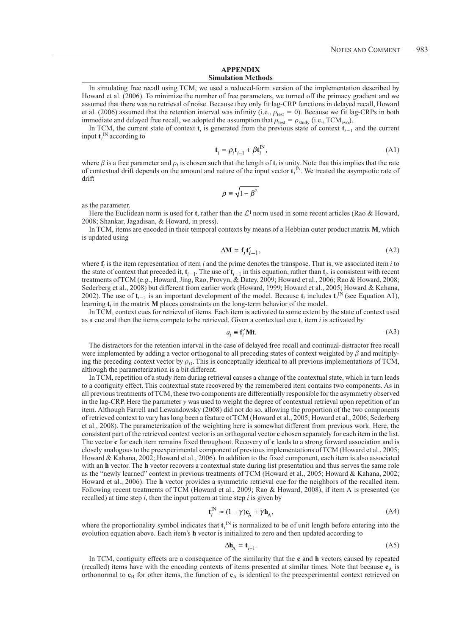#### **APPENDIX Simulation Methods**

In simulating free recall using TCM, we used a reduced-form version of the implementation described by Howard et al. (2006). To minimize the number of free parameters, we turned off the primacy gradient and we assumed that there was no retrieval of noise. Because they only fit lag-CRP functions in delayed recall, Howard et al. (2006) assumed that the retention interval was infinity (i.e.,  $\rho_{\text{test}} = 0$ ). Because we fit lag-CRPs in both immediate and delayed free recall, we adopted the assumption that  $\rho_{\text{test}} = \rho_{\text{study}}$  (i.e., TCM<sub>evo</sub>).

In TCM, the current state of context  $\mathbf{t}_i$  is generated from the previous state of context  $\mathbf{t}_{i-1}$  and the current input  $\mathbf{t}$ <sub>*i*</sub><sup>IN</sup> according to

$$
\mathbf{t}_{i} = \rho_{i}\mathbf{t}_{i-1} + \beta \mathbf{t}_{i}^{\mathbb{N}},\tag{A1}
$$

where  $\beta$  is a free parameter and  $\rho_i$  is chosen such that the length of  $\mathbf{t}_i$  is unity. Note that this implies that the rate of contextual drift depends on the amount and nature of the input vector  $t_i^N$ . We treated the asymptotic rate of drift

$$
\rho \equiv \sqrt{1 - \beta^2}
$$

as the parameter.

Here the Euclidean norm is used for **t**, rather than the  $\mathcal{L}^1$  norm used in some recent articles (Rao & Howard, 2008; Shankar, Jagadisan, & Howard, in press).

In TCM, items are encoded in their temporal contexts by means of a Hebbian outer product matrix **M**, which is updated using

$$
\Delta \mathbf{M} = \mathbf{f}_i \mathbf{t}'_{i-1},\tag{A2}
$$

where  $f_i$  is the item representation of item *i* and the prime denotes the transpose. That is, we associated item *i* to the state of context that preceded it,  $\mathbf{t}_{i-1}$ . The use of  $\mathbf{t}_{i-1}$  in this equation, rather than  $\mathbf{t}_i$ , is consistent with recent treatments of TCM (e.g., Howard, Jing, Rao, Provyn, & Datey, 2009; Howard et al., 2006; Rao & Howard, 2008; Sederberg et al., 2008) but different from earlier work (Howard, 1999; Howard et al., 2005; Howard & Kahana, 2002). The use of  $t_{i-1}$  is an important development of the model. Because  $t_i$  includes  $t_i^N$  (see Equation A1), learning  $t_i$  in the matrix  $M$  places constraints on the long-term behavior of the model.

In TCM, context cues for retrieval of items. Each item is activated to some extent by the state of context used as a cue and then the items compete to be retrieved. Given a contextual cue **t**, item *i* is activated by

$$
a_i \equiv \mathbf{f}'_i \mathbf{M} \mathbf{t}.\tag{A3}
$$

The distractors for the retention interval in the case of delayed free recall and continual-distractor free recall were implemented by adding a vector orthogonal to all preceding states of context weighted by *β* and multiplying the preceding context vector by *ρD*. This is conceptually identical to all previous implementations of TCM, although the parameterization is a bit different.

In TCM, repetition of a study item during retrieval causes a change of the contextual state, which in turn leads to a contiguity effect. This contextual state recovered by the remembered item contains two components. As in all previous treatments of TCM, these two components are differentially responsible for the asymmetry observed in the lag-CRP. Here the parameter *γ* was used to weight the degree of contextual retrieval upon repetition of an item. Although Farrell and Lewandowsky (2008) did not do so, allowing the proportion of the two components of retrieved context to vary has long been a feature of TCM (Howard et al., 2005; Howard et al., 2006; Sederberg et al., 2008). The parameterization of the weighting here is somewhat different from previous work. Here, the consistent part of the retrieved context vector is an orthogonal vector **c** chosen separately for each item in the list. The vector **c** for each item remains fixed throughout. Recovery of **c** leads to a strong forward association and is closely analogous to the preexperimental component of previous implementations of TCM (Howard et al., 2005; Howard & Kahana, 2002; Howard et al., 2006). In addition to the fixed component, each item is also associated with an **h** vector. The **h** vector recovers a contextual state during list presentation and thus serves the same role as the "newly learned" context in previous treatments of TCM (Howard et al., 2005; Howard & Kahana, 2002; Howard et al., 2006). The **h** vector provides a symmetric retrieval cue for the neighbors of the recalled item. Following recent treatments of TCM (Howard et al., 2009; Rao & Howard, 2008), if item A is presented (or recalled) at time step *i*, then the input pattern at time step *i* is given by

$$
\mathbf{t}_i^{\mathbb{N}} \propto (1 - \gamma) \mathbf{c}_{\mathbb{A}} + \gamma \mathbf{h}_{\mathbb{A}},\tag{A4}
$$

where the proportionality symbol indicates that  $t_i^N$  is normalized to be of unit length before entering into the evolution equation above. Each item's **h** vector is initialized to zero and then updated according to

$$
\Delta \mathbf{h}_{\mathbf{A}} = \mathbf{t}_{i-1}.\tag{A5}
$$

In TCM, contiguity effects are a consequence of the similarity that the **c** and **h** vectors caused by repeated (recalled) items have with the encoding contexts of items presented at similar times. Note that because  $\mathbf{c}_A$  is orthonormal to  $\mathbf{c}_B$  for other items, the function of  $\mathbf{c}_A$  is identical to the preexperimental context retrieved on